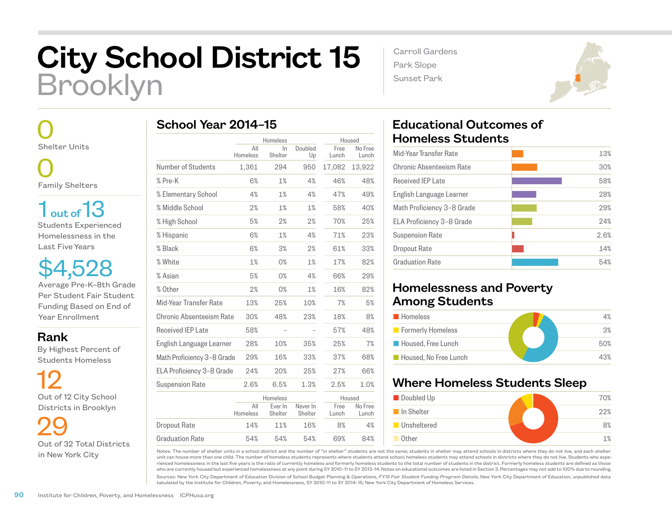## City School District 15 Brooklyn

 0 Shelter Units

 0 Family Shelters

1 out of 13 Students Experienced Homelessness in the Last Five Years

\$4,528 Average Pre-K–8th Grade Per Student Fair Student Funding Based on End of Year Enrollment

Rank

 By Highest Percent of Students Homeless

 12 Out of 12 City School Districts in Brooklyn

 29 Out of 32 Total Districts in New York City

|                            | Homeless        |                    | Housed              |               |                  |  |
|----------------------------|-----------------|--------------------|---------------------|---------------|------------------|--|
|                            | All<br>Homeless | $\ln$<br>Shelter   | Doubled<br>Up       | Free<br>Lunch | No Free<br>Lunch |  |
| Number of Students         | 1,361           | 294                | 950                 | 17,082        | 13,922           |  |
| % Pre-K                    | 6%              | 1%                 | 4%                  | 46%           | 48%              |  |
| % Elementary School        | 4%              | 1%                 | 4%                  | 47%           | 49%              |  |
| % Middle School            | 2%              | 1%                 | 1%                  | 58%           | 40%              |  |
| % High School              | 5%              | 2%                 | 2%                  | 70%           | 25%              |  |
| % Hispanic                 | 6%              | 1%                 | 4%                  | 71%           | 23%              |  |
| % Black                    | 6%              | 3%                 | 2%                  | 61%           | 33%              |  |
| % White                    | 1%              | 0%                 | 1%                  | 17%           | 82%              |  |
| % Asian                    | 5%              | 0%                 | 4%                  | 66%           | 29%              |  |
| % Other                    | 2%              | 0%                 | 1%                  | 16%           | 82%              |  |
| Mid-Year Transfer Rate     | 13%             | 25%                | 10%                 | 7%            | 5%               |  |
| Chronic Absenteeism Rate   | 30%             | 48%                | 23%                 | 18%           | 8%               |  |
| Received IEP Late          | 58%             |                    |                     | 57%           | 48%              |  |
| English Language Learner   | 28%             | 10%                | 35%                 | 25%           | 7%               |  |
| Math Proficiency 3-8 Grade | 29%             | 16%                | 33%                 | 37%           | 68%              |  |
| ELA Proficiency 3-8 Grade  | 24%             | 20%                | 25%                 | 27%           | 66%              |  |
| <b>Suspension Rate</b>     | 2.6%            | 6.5%               | 1.3%                | 2.5%          | 1.0%             |  |
|                            |                 | Homeless           |                     |               | Housed           |  |
|                            | All<br>Homeless | Ever In<br>Shelter | Never In<br>Shelter | Free<br>Lunch | No Free<br>Lunch |  |
| Dropout Rate               | 14%             | 11%                | 16%                 | 8%            | 4%               |  |
| Graduation Rate            | 54%             | 54%                | 54%                 | 69%           | 84%              |  |

Carroll Gardens Park Slope Sunset Park



## Educational Outcomes of Homeless Students

| Mid-Year Transfer Rate     | 13%  |
|----------------------------|------|
| Chronic Absenteeism Rate   | 30%  |
| <b>Received IEP Late</b>   | 58%  |
| English Language Learner   | 28%  |
| Math Proficiency 3-8 Grade | 29%  |
| ELA Proficiency 3-8 Grade  | 24%  |
| <b>Suspension Rate</b>     | 2.6% |
| Dropout Rate               | 14%  |
| <b>Graduation Rate</b>     | 54%  |
|                            |      |

## Homelessness and Poverty Among Students

| <b>Homeless</b>       | 4%  |
|-----------------------|-----|
| Formerly Homeless     | 3%  |
| Housed, Free Lunch    | 50% |
| Housed, No Free Lunch | 43% |

## Where Homeless Students Sleep



Notes: The number of shelter units in a school district and the number of "in shelter" students are not the same; students in shelter may attend schools in districts where they do not live, and each shelter unit can house more than one child. The number of homeless students represents where students attend school; homeless students may attend schools in districts where they do not live. Students who experienced homelessness in the last five years is the ratio of currently homeless and formerly homeless students to the total number of students in the district. Formerly homeless students are defined as those who are currently housed but experienced homelessness at any point during SY 2010–11 to SY 2013–14. Notes on educational outcomes are listed in Section 3. Percentages may not add to 100% due to rounding.

Sources: New York City Department of Education Division of School Budget Planning & Operations, *FY15 Fair Student Funding Program Details*; New York City Department of Education, unpublished data tabulated by the Institute for Children, Poverty, and Homelessness, SY 2010–11 to SY 2014–15; New York City Department of Homeless Services.